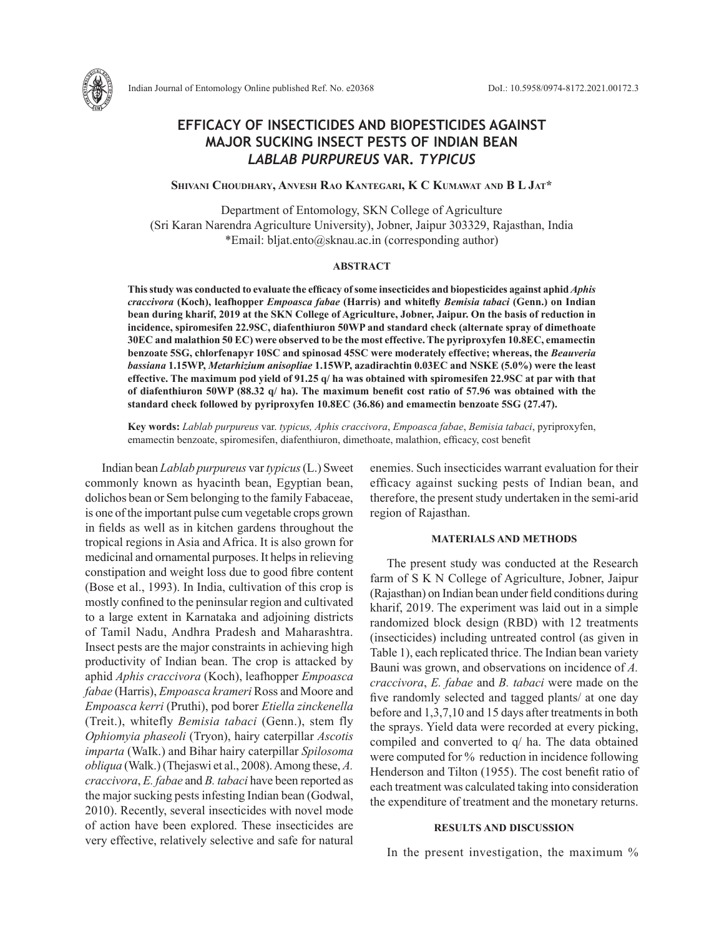

**Shivani Choudhary, Anvesh Rao Kantegari, K C Kumawat and B L Jat\***

Department of Entomology, SKN College of Agriculture (Sri Karan Narendra Agriculture University), Jobner, Jaipur 303329, Rajasthan, India \*Email: bljat.ento@sknau.ac.in (corresponding author)

### **ABSTRACT**

**This study was conducted to evaluate the efficacy of some insecticides and biopesticides against aphid** *Aphis craccivora* **(Koch), leafhopper** *Empoasca fabae* **(Harris) and whitefly** *Bemisia tabaci* **(Genn.) on Indian bean during kharif, 2019 at the SKN College of Agriculture, Jobner, Jaipur. On the basis of reduction in incidence, spiromesifen 22.9SC, diafenthiuron 50WP and standard check (alternate spray of dimethoate 30EC and malathion 50 EC) were observed to be the most effective. The pyriproxyfen 10.8EC, emamectin benzoate 5SG, chlorfenapyr 10SC and spinosad 45SC were moderately effective; whereas, the** *Beauveria bassiana* **1.15WP,** *Metarhizium anisopliae* **1.15WP, azadirachtin 0.03EC and NSKE (5.0%) were the least effective. The maximum pod yield of 91.25 q/ ha was obtained with spiromesifen 22.9SC at par with that of diafenthiuron 50WP (88.32 q/ ha). The maximum benefit cost ratio of 57.96 was obtained with the standard check followed by pyriproxyfen 10.8EC (36.86) and emamectin benzoate 5SG (27.47).**

**Key words:** *Lablab purpureus* var. *typicus, Aphis craccivora*, *Empoasca fabae*, *Bemisia tabaci*, pyriproxyfen, emamectin benzoate, spiromesifen, diafenthiuron, dimethoate, malathion, efficacy, cost benefit

Indian bean *Lablab purpureus* var *typicus* (L.) Sweet commonly known as hyacinth bean, Egyptian bean, dolichos bean or Sem belonging to the family Fabaceae, is one of the important pulse cum vegetable crops grown in fields as well as in kitchen gardens throughout the tropical regions in Asia and Africa. It is also grown for medicinal and ornamental purposes. It helps in relieving constipation and weight loss due to good fibre content (Bose et al., 1993). In India, cultivation of this crop is mostly confined to the peninsular region and cultivated to a large extent in Karnataka and adjoining districts of Tamil Nadu, Andhra Pradesh and Maharashtra. Insect pests are the major constraints in achieving high productivity of Indian bean. The crop is attacked by aphid *Aphis craccivora* (Koch), leafhopper *Empoasca fabae* (Harris), *Empoasca krameri* Ross and Moore and *Empoasca kerri* (Pruthi), pod borer *Etiella zinckenella* (Treit.), whitefly *Bemisia tabaci* (Genn.), stem fly *Ophiomyia phaseoli* (Tryon), hairy caterpillar *Ascotis imparta* (WaIk.) and Bihar hairy caterpillar *Spilosoma obliqua* (Walk.) (Thejaswi et al., 2008). Among these, *A. craccivora*, *E. fabae* and *B. tabaci* have been reported as the major sucking pests infesting Indian bean (Godwal, 2010). Recently, several insecticides with novel mode of action have been explored. These insecticides are very effective, relatively selective and safe for natural enemies. Such insecticides warrant evaluation for their efficacy against sucking pests of Indian bean, and therefore, the present study undertaken in the semi-arid region of Rajasthan.

#### **MATERIALS AND METHODS**

The present study was conducted at the Research farm of S K N College of Agriculture, Jobner, Jaipur (Rajasthan) on Indian bean under field conditions during kharif, 2019. The experiment was laid out in a simple randomized block design (RBD) with 12 treatments (insecticides) including untreated control (as given in Table 1), each replicated thrice. The Indian bean variety Bauni was grown, and observations on incidence of *A. craccivora*, *E. fabae* and *B. tabaci* were made on the five randomly selected and tagged plants/ at one day before and 1,3,7,10 and 15 days after treatments in both the sprays. Yield data were recorded at every picking, compiled and converted to q/ ha. The data obtained were computed for % reduction in incidence following Henderson and Tilton (1955). The cost benefit ratio of each treatment was calculated taking into consideration the expenditure of treatment and the monetary returns.

# **RESULTS AND DISCUSSION**

In the present investigation, the maximum %

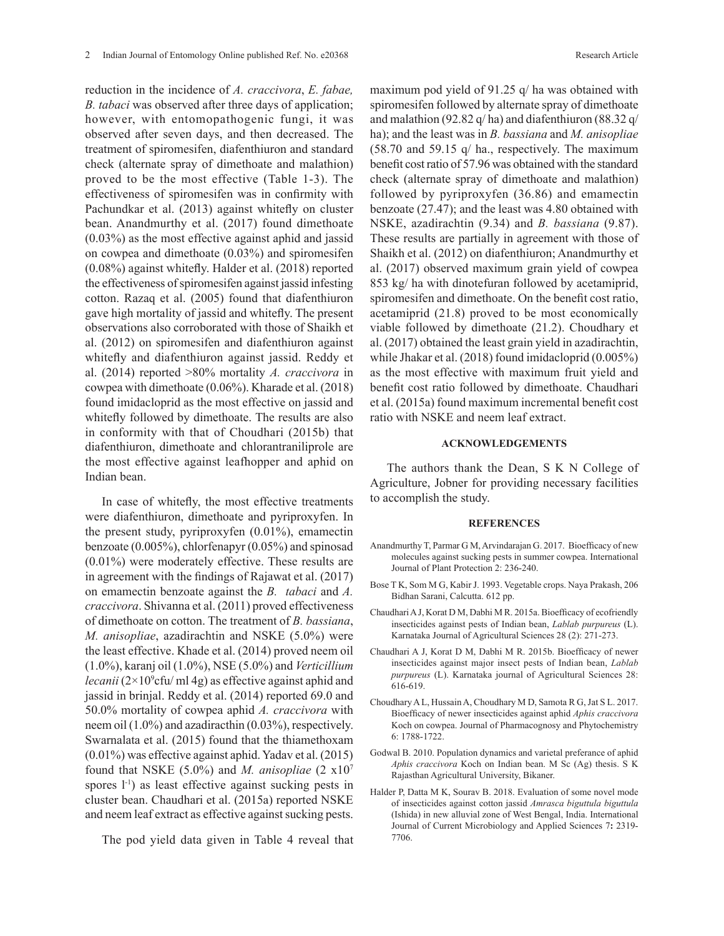reduction in the incidence of *A. craccivora*, *E. fabae, B. tabaci* was observed after three days of application; however, with entomopathogenic fungi, it was observed after seven days, and then decreased. The treatment of spiromesifen, diafenthiuron and standard check (alternate spray of dimethoate and malathion) proved to be the most effective (Table 1-3). The effectiveness of spiromesifen was in confirmity with Pachundkar et al. (2013) against whitefly on cluster bean. Anandmurthy et al. (2017) found dimethoate (0.03%) as the most effective against aphid and jassid on cowpea and dimethoate (0.03%) and spiromesifen (0.08%) against whitefly. Halder et al. (2018) reported the effectiveness of spiromesifen against jassid infesting cotton. Razaq et al. (2005) found that diafenthiuron gave high mortality of jassid and whitefly. The present observations also corroborated with those of Shaikh et al. (2012) on spiromesifen and diafenthiuron against whitefly and diafenthiuron against jassid. Reddy et al. (2014) reported >80% mortality *A. craccivora* in cowpea with dimethoate (0.06%). Kharade et al. (2018) found imidacloprid as the most effective on jassid and whitefly followed by dimethoate. The results are also in conformity with that of Choudhari (2015b) that diafenthiuron, dimethoate and chlorantraniliprole are the most effective against leafhopper and aphid on Indian bean.

In case of whitefly, the most effective treatments were diafenthiuron, dimethoate and pyriproxyfen. In the present study, pyriproxyfen (0.01%), emamectin benzoate (0.005%), chlorfenapyr (0.05%) and spinosad (0.01%) were moderately effective. These results are in agreement with the findings of Rajawat et al. (2017) on emamectin benzoate against the *B. tabaci* and *A. craccivora*. Shivanna et al. (2011) proved effectiveness of dimethoate on cotton. The treatment of *B. bassiana*, *M. anisopliae*, azadirachtin and NSKE (5.0%) were the least effective. Khade et al. (2014) proved neem oil (1.0%), karanj oil (1.0%), NSE (5.0%) and *Verticillium lecanii* (2×10<sup>9</sup>cfu/ ml 4g) as effective against aphid and jassid in brinjal. Reddy et al. (2014) reported 69.0 and 50.0% mortality of cowpea aphid *A. craccivora* with neem oil (1.0%) and azadiracthin (0.03%), respectively. Swarnalata et al. (2015) found that the thiamethoxam (0.01%) was effective against aphid. Yadav et al. (2015) found that NSKE (5.0%) and *M. anisopliae* (2 x107 spores l<sup>-1</sup>) as least effective against sucking pests in cluster bean. Chaudhari et al. (2015a) reported NSKE and neem leaf extract as effective against sucking pests.

The pod yield data given in Table 4 reveal that

maximum pod yield of 91.25 q/ ha was obtained with spiromesifen followed by alternate spray of dimethoate and malathion (92.82 q/ ha) and diafenthiuron (88.32 q/ ha); and the least was in *B. bassiana* and *M. anisopliae* (58.70 and 59.15 q/ ha., respectively. The maximum benefit cost ratio of 57.96 was obtained with the standard check (alternate spray of dimethoate and malathion) followed by pyriproxyfen (36.86) and emamectin benzoate (27.47); and the least was 4.80 obtained with NSKE, azadirachtin (9.34) and *B. bassiana* (9.87). These results are partially in agreement with those of Shaikh et al. (2012) on diafenthiuron; Anandmurthy et al. (2017) observed maximum grain yield of cowpea 853 kg/ ha with dinotefuran followed by acetamiprid, spiromesifen and dimethoate. On the benefit cost ratio, acetamiprid (21.8) proved to be most economically viable followed by dimethoate (21.2). Choudhary et al. (2017) obtained the least grain yield in azadirachtin, while Jhakar et al. (2018) found imidacloprid (0.005%) as the most effective with maximum fruit yield and benefit cost ratio followed by dimethoate. Chaudhari et al. (2015a) found maximum incremental benefit cost ratio with NSKE and neem leaf extract.

## **ACKNOWLEDGEMENTS**

The authors thank the Dean, S K N College of Agriculture, Jobner for providing necessary facilities to accomplish the study.

#### **REFERENCES**

- Anandmurthy T, Parmar G M, Arvindarajan G. 2017. Bioefficacy of new molecules against sucking pests in summer cowpea. International Journal of Plant Protection 2: 236-240.
- Bose T K, Som M G, Kabir J. 1993. Vegetable crops. Naya Prakash, 206 Bidhan Sarani, Calcutta. 612 pp.
- Chaudhari A J, Korat D M, Dabhi M R. 2015a. Bioefficacy of ecofriendly insecticides against pests of Indian bean, *Lablab purpureus* (L). Karnataka Journal of Agricultural Sciences 28 (2): 271-273.
- Chaudhari A J, Korat D M, Dabhi M R. 2015b. Bioefficacy of newer insecticides against major insect pests of Indian bean, *Lablab purpureus* (L). Karnataka journal of Agricultural Sciences 28: 616-619.
- Choudhary A L, Hussain A, Choudhary M D, Samota R G, Jat S L. 2017. Bioefficacy of newer insecticides against aphid *Aphis craccivora* Koch on cowpea. Journal of Pharmacognosy and Phytochemistry 6: 1788-1722.
- Godwal B. 2010. Population dynamics and varietal preferance of aphid *Aphis craccivora* Koch on Indian bean. M Sc (Ag) thesis. S K Rajasthan Agricultural University, Bikaner.
- Halder P, Datta M K, Sourav B. 2018. Evaluation of some novel mode of insecticides against cotton jassid *Amrasca biguttula biguttula* (Ishida) in new alluvial zone of West Bengal, India. International Journal of Current Microbiology and Applied Sciences 7**:** 2319- 7706.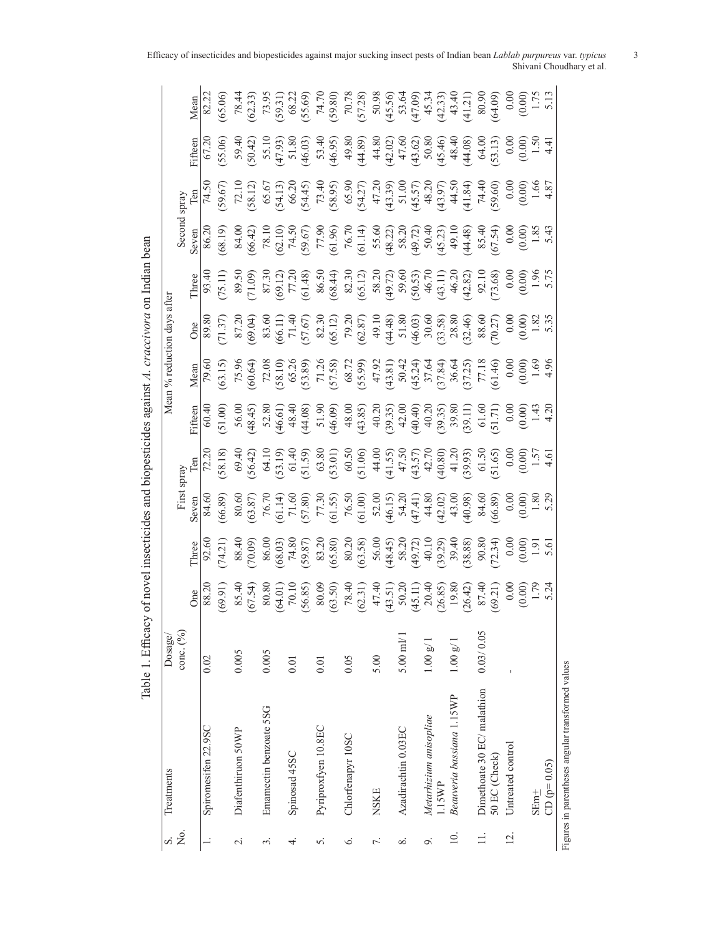| S.                   | Treatments                  | Dosage/                |                                                                                                                                                                                                                                                         |                                                                                                                                                                                                                                                                                       |                                                                                                                                                                                                                                                                                            |                                                                                                                                                                                                                                                                  |                                                                                                                                                                                                                                |                                                                                                                                                                                                                                                                                                                                                                                                | Mean % reduction days after                                                                                                                                                                                                                                                                                                                       |                                                                                                                                                                                                                                |                                                                                                                                                                                                                             |                                                                                                                                                                                                                                                                                |                                                                                                                                                                                                                                |                                                                                                                                                                                                                             |
|----------------------|-----------------------------|------------------------|---------------------------------------------------------------------------------------------------------------------------------------------------------------------------------------------------------------------------------------------------------|---------------------------------------------------------------------------------------------------------------------------------------------------------------------------------------------------------------------------------------------------------------------------------------|--------------------------------------------------------------------------------------------------------------------------------------------------------------------------------------------------------------------------------------------------------------------------------------------|------------------------------------------------------------------------------------------------------------------------------------------------------------------------------------------------------------------------------------------------------------------|--------------------------------------------------------------------------------------------------------------------------------------------------------------------------------------------------------------------------------|------------------------------------------------------------------------------------------------------------------------------------------------------------------------------------------------------------------------------------------------------------------------------------------------------------------------------------------------------------------------------------------------|---------------------------------------------------------------------------------------------------------------------------------------------------------------------------------------------------------------------------------------------------------------------------------------------------------------------------------------------------|--------------------------------------------------------------------------------------------------------------------------------------------------------------------------------------------------------------------------------|-----------------------------------------------------------------------------------------------------------------------------------------------------------------------------------------------------------------------------|--------------------------------------------------------------------------------------------------------------------------------------------------------------------------------------------------------------------------------------------------------------------------------|--------------------------------------------------------------------------------------------------------------------------------------------------------------------------------------------------------------------------------|-----------------------------------------------------------------------------------------------------------------------------------------------------------------------------------------------------------------------------|
| Σò,                  |                             | conc. (%)              |                                                                                                                                                                                                                                                         |                                                                                                                                                                                                                                                                                       |                                                                                                                                                                                                                                                                                            |                                                                                                                                                                                                                                                                  |                                                                                                                                                                                                                                |                                                                                                                                                                                                                                                                                                                                                                                                |                                                                                                                                                                                                                                                                                                                                                   |                                                                                                                                                                                                                                |                                                                                                                                                                                                                             | Spray                                                                                                                                                                                                                                                                          |                                                                                                                                                                                                                                |                                                                                                                                                                                                                             |
|                      |                             |                        | $\rm{One}$                                                                                                                                                                                                                                              | Three                                                                                                                                                                                                                                                                                 | Seven                                                                                                                                                                                                                                                                                      | Γeη                                                                                                                                                                                                                                                              |                                                                                                                                                                                                                                | Mean                                                                                                                                                                                                                                                                                                                                                                                           |                                                                                                                                                                                                                                                                                                                                                   | Three                                                                                                                                                                                                                          | Seven                                                                                                                                                                                                                       |                                                                                                                                                                                                                                                                                |                                                                                                                                                                                                                                | Mean                                                                                                                                                                                                                        |
|                      | Spiromesifen 22.9SC         | 0.02                   |                                                                                                                                                                                                                                                         |                                                                                                                                                                                                                                                                                       |                                                                                                                                                                                                                                                                                            |                                                                                                                                                                                                                                                                  |                                                                                                                                                                                                                                |                                                                                                                                                                                                                                                                                                                                                                                                |                                                                                                                                                                                                                                                                                                                                                   |                                                                                                                                                                                                                                |                                                                                                                                                                                                                             |                                                                                                                                                                                                                                                                                |                                                                                                                                                                                                                                |                                                                                                                                                                                                                             |
|                      |                             |                        | $\frac{1}{(16.69)}$                                                                                                                                                                                                                                     | $\begin{array}{l} 60,0000\\ (0,00000)\\ (0,00000)\\ (0,0000)\\ (0,0000)\\ (0,0000)\\ (0,0000)\\ (0,0000)\\ (0,0000)\\ (0,0000)\\ (0,0000)\\ (0,0000)\\ (0,0000)\\ (0,0000)\\ (0,0000)\\ (0,0000)\\ (0,0000)\\ (0,0000)\\ (0,0000)\\ (0,0000)\\ (0,0000)\\ (0,0000)\\ (0,0000)\\ (0,0$ | 84.66.89<br>80.66.87<br>76.71.90<br>77.30<br>77.30<br>76.50<br>76.50<br>76.50<br>76.50<br>76.50<br>76.50<br>76.50<br>76.50<br>76.50<br>76.50<br>76.50<br>76.50<br>76.50<br>76.50<br>76.50<br>76.50<br>76.50<br>76.50<br>76.50<br>76.50<br>76.50<br>76.50<br>76.50<br>76.50<br>76.50<br>76. | 72.20                                                                                                                                                                                                                                                            | $(60.400, 60.400, 60.400, 60.400, 60.400, 60.400, 60.400, 60.400, 60.400, 60.400, 60.400, 60.400, 60.400, 60.400, 60.400, 60.400, 60.400, 60.400, 60.400, 60.400, 60.400, 60.400, 60.400, 60.400, 60.400, 60.400, 60.400, 60.$ | $\begin{array}{l} \n\overline{19.60} \\ \n\overline{19.50} \\ \n\overline{19.40} \\ \n\overline{19.50} \\ \n\overline{19.60} \\ \n\overline{19.50} \\ \n\overline{10.50} \\ \n\overline{10.50} \\ \n\overline{10.50} \\ \n\overline{10.50} \\ \n\overline{10.50} \\ \n\overline{10.50} \\ \n\overline{10.50} \\ \n\overline{11.80} \\ \n\overline{10.50} \\ \n\overline{11.40} \\ \n\overline$ | $\begin{array}{l} \n 0 & \text{if } 6 & \text{if } 6 & \text{if } 6 & \text{if } 6 & \text{if } 6 & \text{if } 6 & \text{if } 6 & \text{if } 6 & \text{if } 6 & \text{if } 6 & \text{if } 6 & \text{if } 6 & \text{if } 6 & \text{if } 6 & \text{if } 6 & \text{if } 6 & \text{if } 6 & \text{if } 6 & \text{if } 6 & \text{if } 6 & \text{if } $ | $(3, 1)$ $(7, 1)$ $(8, 3)$ $(8, 3)$ $(7, 2)$ $(8, 3)$ $(8, 3)$ $(8, 4)$ $(8, 5)$ $(8, 3)$ $(8, 3)$ $(8, 3)$ $(8, 3)$ $(8, 3)$ $(8, 3)$ $(8, 3)$ $(8, 3)$ $(8, 3)$ $(8, 3)$ $(8, 3)$ $(8, 3)$ $(8, 3)$ $(8, 3)$ $(8, 3)$ $(8, $ | $(80.30)$ $(80.40)$ $(80.50)$ $(80.50)$ $(80.50)$ $(80.50)$ $(80.50)$ $(80.50)$ $(80.50)$ $(80.50)$ $(80.50)$ $(80.50)$ $(80.50)$ $(80.50)$ $(80.50)$ $(80.50)$ $(80.50)$ $(80.50)$ $(80.50)$ $(80.50)$ $(80.50)$ $(80.50)$ | $74.5($<br>$50.67$<br>$50.72$<br>$50.67$<br>$50.67$<br>$50.67$<br>$50.67$<br>$50.67$<br>$50.67$<br>$50.67$<br>$50.67$<br>$50.67$<br>$50.67$<br>$50.67$<br>$50.67$<br>$50.67$<br>$50.67$<br>$50.67$<br>$50.67$<br>$50.67$<br>$50.67$<br>$50.67$<br>$50.67$<br>$50.67$<br>$50.6$ | $(5,5,6)$ $(5,6)$ $(5,6)$ $(5,6)$ $(5,6)$ $(5,6)$ $(5,6)$ $(5,6)$ $(5,6)$ $(5,6)$ $(5,6)$ $(5,6)$ $(5,6)$ $(5,6)$ $(5,6)$ $(5,6)$ $(5,6)$ $(5,6)$ $(5,6)$ $(5,6)$ $(5,6)$ $(5,6)$ $(5,6)$ $(5,6)$ $(5,6)$ $(5,6)$ $(5,6)$ $(5$ | $[8, 23]$ $[8, 69]$ $[8, 69]$ $[8, 69]$ $[8, 69]$ $[8, 69]$ $[8, 69]$ $[8, 69]$ $[8, 69]$ $[8, 69]$ $[8, 69]$ $[8, 69]$ $[8, 69]$ $[8, 69]$ $[8, 69]$ $[8, 69]$ $[8, 69]$ $[8, 69]$ $[8, 69]$ $[8, 69]$ $[8, 69]$ $[8, 69]$ |
| $\sim$               | Diafenthiruon 50WP          | 0.005                  |                                                                                                                                                                                                                                                         |                                                                                                                                                                                                                                                                                       |                                                                                                                                                                                                                                                                                            |                                                                                                                                                                                                                                                                  |                                                                                                                                                                                                                                |                                                                                                                                                                                                                                                                                                                                                                                                |                                                                                                                                                                                                                                                                                                                                                   |                                                                                                                                                                                                                                |                                                                                                                                                                                                                             |                                                                                                                                                                                                                                                                                |                                                                                                                                                                                                                                |                                                                                                                                                                                                                             |
|                      |                             |                        | $85.49$ (67.54)<br>$80.80$ (67.54)<br>$80.80$ (68.65)<br>$80.80$ (68.65)<br>$80.80$ (68.65)<br>$80.80$ (68.65)<br>$80.80$ (68.65)<br>$80.80$ (68.65)<br>$80.80$ (68.65)<br>$80.80$ (68.65)<br>$80.80$ (68.65)<br>$80.80$ (68.65)<br>$80.80$ (68.65)<br> |                                                                                                                                                                                                                                                                                       |                                                                                                                                                                                                                                                                                            | 69.4(<br>56.42, 36.30)<br>63.5(53.1)<br>63.8(53.01)<br>63.8(53.01)<br>63.7(7, 7(58)<br>63.7(7, 7(58)<br>63.7(7, 7(58)<br>63.7(7, 7(50)<br>63.7(7, 7(50)<br>63.7(7, 7(50)<br>63.7(7, 7)<br>63.7(7, 7)<br>63.7(7, 7)<br>63.7(7, 7)<br>63.7(7, 7)<br>63.7(7, 7)<br> |                                                                                                                                                                                                                                |                                                                                                                                                                                                                                                                                                                                                                                                |                                                                                                                                                                                                                                                                                                                                                   |                                                                                                                                                                                                                                |                                                                                                                                                                                                                             |                                                                                                                                                                                                                                                                                |                                                                                                                                                                                                                                |                                                                                                                                                                                                                             |
| $\dot{\mathfrak{S}}$ | Emamectin benzoate 5SG      | 0.005                  |                                                                                                                                                                                                                                                         |                                                                                                                                                                                                                                                                                       |                                                                                                                                                                                                                                                                                            |                                                                                                                                                                                                                                                                  |                                                                                                                                                                                                                                |                                                                                                                                                                                                                                                                                                                                                                                                |                                                                                                                                                                                                                                                                                                                                                   |                                                                                                                                                                                                                                |                                                                                                                                                                                                                             |                                                                                                                                                                                                                                                                                |                                                                                                                                                                                                                                |                                                                                                                                                                                                                             |
|                      |                             |                        |                                                                                                                                                                                                                                                         |                                                                                                                                                                                                                                                                                       |                                                                                                                                                                                                                                                                                            |                                                                                                                                                                                                                                                                  |                                                                                                                                                                                                                                |                                                                                                                                                                                                                                                                                                                                                                                                |                                                                                                                                                                                                                                                                                                                                                   |                                                                                                                                                                                                                                |                                                                                                                                                                                                                             |                                                                                                                                                                                                                                                                                |                                                                                                                                                                                                                                |                                                                                                                                                                                                                             |
| 4                    | Spinosad 45SC               | 0.01                   |                                                                                                                                                                                                                                                         |                                                                                                                                                                                                                                                                                       |                                                                                                                                                                                                                                                                                            |                                                                                                                                                                                                                                                                  |                                                                                                                                                                                                                                |                                                                                                                                                                                                                                                                                                                                                                                                |                                                                                                                                                                                                                                                                                                                                                   |                                                                                                                                                                                                                                |                                                                                                                                                                                                                             |                                                                                                                                                                                                                                                                                |                                                                                                                                                                                                                                |                                                                                                                                                                                                                             |
|                      |                             |                        |                                                                                                                                                                                                                                                         |                                                                                                                                                                                                                                                                                       |                                                                                                                                                                                                                                                                                            |                                                                                                                                                                                                                                                                  |                                                                                                                                                                                                                                |                                                                                                                                                                                                                                                                                                                                                                                                |                                                                                                                                                                                                                                                                                                                                                   |                                                                                                                                                                                                                                |                                                                                                                                                                                                                             |                                                                                                                                                                                                                                                                                |                                                                                                                                                                                                                                |                                                                                                                                                                                                                             |
| 5.                   | Pyriproxfyen 10.8EC         | 0.01                   |                                                                                                                                                                                                                                                         |                                                                                                                                                                                                                                                                                       |                                                                                                                                                                                                                                                                                            |                                                                                                                                                                                                                                                                  |                                                                                                                                                                                                                                |                                                                                                                                                                                                                                                                                                                                                                                                |                                                                                                                                                                                                                                                                                                                                                   |                                                                                                                                                                                                                                |                                                                                                                                                                                                                             |                                                                                                                                                                                                                                                                                |                                                                                                                                                                                                                                |                                                                                                                                                                                                                             |
|                      |                             |                        |                                                                                                                                                                                                                                                         |                                                                                                                                                                                                                                                                                       |                                                                                                                                                                                                                                                                                            |                                                                                                                                                                                                                                                                  |                                                                                                                                                                                                                                |                                                                                                                                                                                                                                                                                                                                                                                                |                                                                                                                                                                                                                                                                                                                                                   |                                                                                                                                                                                                                                |                                                                                                                                                                                                                             |                                                                                                                                                                                                                                                                                |                                                                                                                                                                                                                                |                                                                                                                                                                                                                             |
| 6.                   | Chlorfenapyr 10SC           | 0.05                   |                                                                                                                                                                                                                                                         |                                                                                                                                                                                                                                                                                       |                                                                                                                                                                                                                                                                                            |                                                                                                                                                                                                                                                                  |                                                                                                                                                                                                                                |                                                                                                                                                                                                                                                                                                                                                                                                |                                                                                                                                                                                                                                                                                                                                                   |                                                                                                                                                                                                                                |                                                                                                                                                                                                                             |                                                                                                                                                                                                                                                                                |                                                                                                                                                                                                                                |                                                                                                                                                                                                                             |
|                      |                             |                        |                                                                                                                                                                                                                                                         |                                                                                                                                                                                                                                                                                       |                                                                                                                                                                                                                                                                                            |                                                                                                                                                                                                                                                                  |                                                                                                                                                                                                                                |                                                                                                                                                                                                                                                                                                                                                                                                |                                                                                                                                                                                                                                                                                                                                                   |                                                                                                                                                                                                                                |                                                                                                                                                                                                                             |                                                                                                                                                                                                                                                                                |                                                                                                                                                                                                                                |                                                                                                                                                                                                                             |
| 7.                   | <b>NSKE</b>                 | 5.00                   |                                                                                                                                                                                                                                                         |                                                                                                                                                                                                                                                                                       |                                                                                                                                                                                                                                                                                            |                                                                                                                                                                                                                                                                  |                                                                                                                                                                                                                                |                                                                                                                                                                                                                                                                                                                                                                                                |                                                                                                                                                                                                                                                                                                                                                   |                                                                                                                                                                                                                                |                                                                                                                                                                                                                             |                                                                                                                                                                                                                                                                                |                                                                                                                                                                                                                                |                                                                                                                                                                                                                             |
|                      |                             |                        |                                                                                                                                                                                                                                                         |                                                                                                                                                                                                                                                                                       |                                                                                                                                                                                                                                                                                            |                                                                                                                                                                                                                                                                  |                                                                                                                                                                                                                                |                                                                                                                                                                                                                                                                                                                                                                                                |                                                                                                                                                                                                                                                                                                                                                   |                                                                                                                                                                                                                                |                                                                                                                                                                                                                             |                                                                                                                                                                                                                                                                                |                                                                                                                                                                                                                                |                                                                                                                                                                                                                             |
| $\infty$             | Azadirachtin 0.03EC         | $5.00 \text{ m}$ $1/1$ |                                                                                                                                                                                                                                                         |                                                                                                                                                                                                                                                                                       |                                                                                                                                                                                                                                                                                            |                                                                                                                                                                                                                                                                  |                                                                                                                                                                                                                                |                                                                                                                                                                                                                                                                                                                                                                                                |                                                                                                                                                                                                                                                                                                                                                   |                                                                                                                                                                                                                                |                                                                                                                                                                                                                             |                                                                                                                                                                                                                                                                                |                                                                                                                                                                                                                                |                                                                                                                                                                                                                             |
|                      |                             |                        |                                                                                                                                                                                                                                                         |                                                                                                                                                                                                                                                                                       |                                                                                                                                                                                                                                                                                            |                                                                                                                                                                                                                                                                  |                                                                                                                                                                                                                                |                                                                                                                                                                                                                                                                                                                                                                                                |                                                                                                                                                                                                                                                                                                                                                   |                                                                                                                                                                                                                                |                                                                                                                                                                                                                             |                                                                                                                                                                                                                                                                                |                                                                                                                                                                                                                                |                                                                                                                                                                                                                             |
| o,                   | Metarhizium anisopliae      | $1.00\;{\rm g}/1$      |                                                                                                                                                                                                                                                         |                                                                                                                                                                                                                                                                                       |                                                                                                                                                                                                                                                                                            |                                                                                                                                                                                                                                                                  |                                                                                                                                                                                                                                |                                                                                                                                                                                                                                                                                                                                                                                                |                                                                                                                                                                                                                                                                                                                                                   |                                                                                                                                                                                                                                |                                                                                                                                                                                                                             |                                                                                                                                                                                                                                                                                |                                                                                                                                                                                                                                |                                                                                                                                                                                                                             |
|                      | L15WP                       |                        |                                                                                                                                                                                                                                                         |                                                                                                                                                                                                                                                                                       |                                                                                                                                                                                                                                                                                            |                                                                                                                                                                                                                                                                  |                                                                                                                                                                                                                                |                                                                                                                                                                                                                                                                                                                                                                                                |                                                                                                                                                                                                                                                                                                                                                   |                                                                                                                                                                                                                                |                                                                                                                                                                                                                             |                                                                                                                                                                                                                                                                                |                                                                                                                                                                                                                                |                                                                                                                                                                                                                             |
| $\overline{10}$ .    | Beauveria bassiana 1.15WP   | 1.00 g/1               |                                                                                                                                                                                                                                                         |                                                                                                                                                                                                                                                                                       |                                                                                                                                                                                                                                                                                            |                                                                                                                                                                                                                                                                  |                                                                                                                                                                                                                                |                                                                                                                                                                                                                                                                                                                                                                                                |                                                                                                                                                                                                                                                                                                                                                   |                                                                                                                                                                                                                                |                                                                                                                                                                                                                             |                                                                                                                                                                                                                                                                                |                                                                                                                                                                                                                                |                                                                                                                                                                                                                             |
|                      |                             |                        |                                                                                                                                                                                                                                                         |                                                                                                                                                                                                                                                                                       |                                                                                                                                                                                                                                                                                            |                                                                                                                                                                                                                                                                  |                                                                                                                                                                                                                                |                                                                                                                                                                                                                                                                                                                                                                                                |                                                                                                                                                                                                                                                                                                                                                   |                                                                                                                                                                                                                                |                                                                                                                                                                                                                             |                                                                                                                                                                                                                                                                                |                                                                                                                                                                                                                                |                                                                                                                                                                                                                             |
|                      | Dimethoate 30 EC/ malathion | 0.03/0.05              |                                                                                                                                                                                                                                                         |                                                                                                                                                                                                                                                                                       |                                                                                                                                                                                                                                                                                            |                                                                                                                                                                                                                                                                  |                                                                                                                                                                                                                                |                                                                                                                                                                                                                                                                                                                                                                                                |                                                                                                                                                                                                                                                                                                                                                   |                                                                                                                                                                                                                                |                                                                                                                                                                                                                             |                                                                                                                                                                                                                                                                                |                                                                                                                                                                                                                                |                                                                                                                                                                                                                             |
|                      | 50 EC (Check)               |                        |                                                                                                                                                                                                                                                         |                                                                                                                                                                                                                                                                                       |                                                                                                                                                                                                                                                                                            |                                                                                                                                                                                                                                                                  |                                                                                                                                                                                                                                |                                                                                                                                                                                                                                                                                                                                                                                                |                                                                                                                                                                                                                                                                                                                                                   |                                                                                                                                                                                                                                |                                                                                                                                                                                                                             |                                                                                                                                                                                                                                                                                |                                                                                                                                                                                                                                |                                                                                                                                                                                                                             |
| $\overline{2}$ .     | Untreated control           |                        |                                                                                                                                                                                                                                                         |                                                                                                                                                                                                                                                                                       |                                                                                                                                                                                                                                                                                            |                                                                                                                                                                                                                                                                  |                                                                                                                                                                                                                                |                                                                                                                                                                                                                                                                                                                                                                                                |                                                                                                                                                                                                                                                                                                                                                   |                                                                                                                                                                                                                                |                                                                                                                                                                                                                             |                                                                                                                                                                                                                                                                                |                                                                                                                                                                                                                                |                                                                                                                                                                                                                             |
|                      |                             |                        |                                                                                                                                                                                                                                                         |                                                                                                                                                                                                                                                                                       |                                                                                                                                                                                                                                                                                            |                                                                                                                                                                                                                                                                  |                                                                                                                                                                                                                                |                                                                                                                                                                                                                                                                                                                                                                                                |                                                                                                                                                                                                                                                                                                                                                   |                                                                                                                                                                                                                                |                                                                                                                                                                                                                             |                                                                                                                                                                                                                                                                                |                                                                                                                                                                                                                                |                                                                                                                                                                                                                             |
|                      | $SEm+$                      |                        |                                                                                                                                                                                                                                                         |                                                                                                                                                                                                                                                                                       |                                                                                                                                                                                                                                                                                            |                                                                                                                                                                                                                                                                  |                                                                                                                                                                                                                                |                                                                                                                                                                                                                                                                                                                                                                                                |                                                                                                                                                                                                                                                                                                                                                   |                                                                                                                                                                                                                                |                                                                                                                                                                                                                             |                                                                                                                                                                                                                                                                                |                                                                                                                                                                                                                                |                                                                                                                                                                                                                             |
|                      | $CD (p=0.05)$               |                        |                                                                                                                                                                                                                                                         |                                                                                                                                                                                                                                                                                       |                                                                                                                                                                                                                                                                                            |                                                                                                                                                                                                                                                                  |                                                                                                                                                                                                                                |                                                                                                                                                                                                                                                                                                                                                                                                |                                                                                                                                                                                                                                                                                                                                                   |                                                                                                                                                                                                                                |                                                                                                                                                                                                                             |                                                                                                                                                                                                                                                                                |                                                                                                                                                                                                                                |                                                                                                                                                                                                                             |

Table 1. Efficacy of novel insecticides and biopesticides against A. craccivora on Indian bean Table 1. Efficacy of novel insecticides and biopesticides against *A. craccivora* on Indian bean

Figures in parentheses angular transformed values Figures in parentheses angular transformed values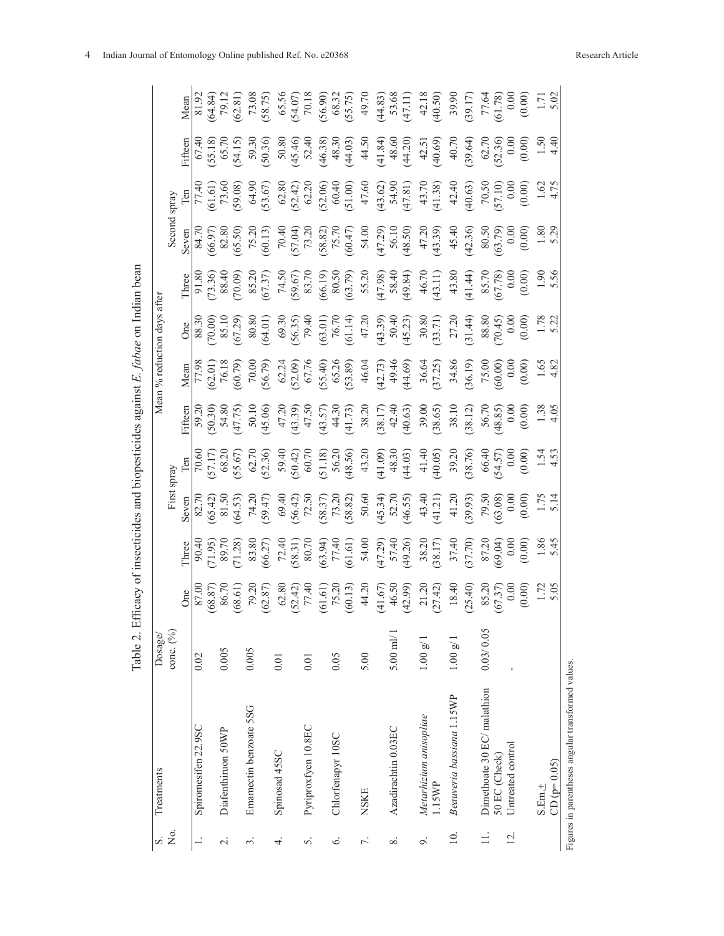| S.                       | Treatments                  | Dosage/                     |                                                                |                                      |                                                                                                                                                                                                                                                                                                                                                                                        |                                                                                                                                                                                                                                                                                                                                                  |                                                                                                                                                                                                                                                                                                                                                                                                   | Mean % reduction days after                                                                                                                                                                                                                                                                                                                                                                              |                                                                                                                                                                                                                                                                                                                                                                                                                                                                                                                                                                                                                                       |                                                                                                                                                                                                                                                                                                                                                                                                                                                                |                                                                                                                                                                                                                                                                                                                                                                                                                              |                                                                                                             |                                                                                                                                                                                                                                                                                                                                                                                                                                                  |
|--------------------------|-----------------------------|-----------------------------|----------------------------------------------------------------|--------------------------------------|----------------------------------------------------------------------------------------------------------------------------------------------------------------------------------------------------------------------------------------------------------------------------------------------------------------------------------------------------------------------------------------|--------------------------------------------------------------------------------------------------------------------------------------------------------------------------------------------------------------------------------------------------------------------------------------------------------------------------------------------------|---------------------------------------------------------------------------------------------------------------------------------------------------------------------------------------------------------------------------------------------------------------------------------------------------------------------------------------------------------------------------------------------------|----------------------------------------------------------------------------------------------------------------------------------------------------------------------------------------------------------------------------------------------------------------------------------------------------------------------------------------------------------------------------------------------------------|---------------------------------------------------------------------------------------------------------------------------------------------------------------------------------------------------------------------------------------------------------------------------------------------------------------------------------------------------------------------------------------------------------------------------------------------------------------------------------------------------------------------------------------------------------------------------------------------------------------------------------------|----------------------------------------------------------------------------------------------------------------------------------------------------------------------------------------------------------------------------------------------------------------------------------------------------------------------------------------------------------------------------------------------------------------------------------------------------------------|------------------------------------------------------------------------------------------------------------------------------------------------------------------------------------------------------------------------------------------------------------------------------------------------------------------------------------------------------------------------------------------------------------------------------|-------------------------------------------------------------------------------------------------------------|--------------------------------------------------------------------------------------------------------------------------------------------------------------------------------------------------------------------------------------------------------------------------------------------------------------------------------------------------------------------------------------------------------------------------------------------------|
| $\frac{1}{2}$            |                             | $\text{conc.}$ $(^{9}_{0})$ |                                                                |                                      |                                                                                                                                                                                                                                                                                                                                                                                        | spray                                                                                                                                                                                                                                                                                                                                            |                                                                                                                                                                                                                                                                                                                                                                                                   |                                                                                                                                                                                                                                                                                                                                                                                                          |                                                                                                                                                                                                                                                                                                                                                                                                                                                                                                                                                                                                                                       |                                                                                                                                                                                                                                                                                                                                                                                                                                                                | spray                                                                                                                                                                                                                                                                                                                                                                                                                        |                                                                                                             |                                                                                                                                                                                                                                                                                                                                                                                                                                                  |
|                          |                             |                             |                                                                |                                      |                                                                                                                                                                                                                                                                                                                                                                                        |                                                                                                                                                                                                                                                                                                                                                  |                                                                                                                                                                                                                                                                                                                                                                                                   |                                                                                                                                                                                                                                                                                                                                                                                                          |                                                                                                                                                                                                                                                                                                                                                                                                                                                                                                                                                                                                                                       |                                                                                                                                                                                                                                                                                                                                                                                                                                                                |                                                                                                                                                                                                                                                                                                                                                                                                                              |                                                                                                             |                                                                                                                                                                                                                                                                                                                                                                                                                                                  |
|                          | Spiromesifen 22.9SC         | 0.02                        |                                                                |                                      |                                                                                                                                                                                                                                                                                                                                                                                        |                                                                                                                                                                                                                                                                                                                                                  |                                                                                                                                                                                                                                                                                                                                                                                                   |                                                                                                                                                                                                                                                                                                                                                                                                          |                                                                                                                                                                                                                                                                                                                                                                                                                                                                                                                                                                                                                                       |                                                                                                                                                                                                                                                                                                                                                                                                                                                                |                                                                                                                                                                                                                                                                                                                                                                                                                              |                                                                                                             |                                                                                                                                                                                                                                                                                                                                                                                                                                                  |
|                          |                             |                             |                                                                |                                      |                                                                                                                                                                                                                                                                                                                                                                                        |                                                                                                                                                                                                                                                                                                                                                  |                                                                                                                                                                                                                                                                                                                                                                                                   |                                                                                                                                                                                                                                                                                                                                                                                                          |                                                                                                                                                                                                                                                                                                                                                                                                                                                                                                                                                                                                                                       |                                                                                                                                                                                                                                                                                                                                                                                                                                                                |                                                                                                                                                                                                                                                                                                                                                                                                                              |                                                                                                             |                                                                                                                                                                                                                                                                                                                                                                                                                                                  |
| $\overline{\mathcal{C}}$ | Diafenthiruon 50WP          | 0.005                       |                                                                |                                      |                                                                                                                                                                                                                                                                                                                                                                                        |                                                                                                                                                                                                                                                                                                                                                  |                                                                                                                                                                                                                                                                                                                                                                                                   |                                                                                                                                                                                                                                                                                                                                                                                                          |                                                                                                                                                                                                                                                                                                                                                                                                                                                                                                                                                                                                                                       |                                                                                                                                                                                                                                                                                                                                                                                                                                                                |                                                                                                                                                                                                                                                                                                                                                                                                                              |                                                                                                             |                                                                                                                                                                                                                                                                                                                                                                                                                                                  |
|                          |                             |                             |                                                                |                                      |                                                                                                                                                                                                                                                                                                                                                                                        |                                                                                                                                                                                                                                                                                                                                                  |                                                                                                                                                                                                                                                                                                                                                                                                   |                                                                                                                                                                                                                                                                                                                                                                                                          |                                                                                                                                                                                                                                                                                                                                                                                                                                                                                                                                                                                                                                       |                                                                                                                                                                                                                                                                                                                                                                                                                                                                |                                                                                                                                                                                                                                                                                                                                                                                                                              |                                                                                                             |                                                                                                                                                                                                                                                                                                                                                                                                                                                  |
| $\dot{\epsilon}$         | Emamectin benzoate 5SG      | 0.005                       |                                                                |                                      |                                                                                                                                                                                                                                                                                                                                                                                        |                                                                                                                                                                                                                                                                                                                                                  |                                                                                                                                                                                                                                                                                                                                                                                                   |                                                                                                                                                                                                                                                                                                                                                                                                          |                                                                                                                                                                                                                                                                                                                                                                                                                                                                                                                                                                                                                                       |                                                                                                                                                                                                                                                                                                                                                                                                                                                                |                                                                                                                                                                                                                                                                                                                                                                                                                              |                                                                                                             |                                                                                                                                                                                                                                                                                                                                                                                                                                                  |
|                          |                             |                             |                                                                |                                      |                                                                                                                                                                                                                                                                                                                                                                                        |                                                                                                                                                                                                                                                                                                                                                  |                                                                                                                                                                                                                                                                                                                                                                                                   |                                                                                                                                                                                                                                                                                                                                                                                                          |                                                                                                                                                                                                                                                                                                                                                                                                                                                                                                                                                                                                                                       |                                                                                                                                                                                                                                                                                                                                                                                                                                                                |                                                                                                                                                                                                                                                                                                                                                                                                                              | Fifteen<br>$\frac{67.40}{67.18}$<br>$\frac{65.18}{65.70}$<br>$\frac{65.70}{54.15}$<br>$\frac{59.30}{59.36}$ |                                                                                                                                                                                                                                                                                                                                                                                                                                                  |
| 4.                       | Spinosad 45SC               | 0.01                        |                                                                |                                      |                                                                                                                                                                                                                                                                                                                                                                                        |                                                                                                                                                                                                                                                                                                                                                  |                                                                                                                                                                                                                                                                                                                                                                                                   |                                                                                                                                                                                                                                                                                                                                                                                                          |                                                                                                                                                                                                                                                                                                                                                                                                                                                                                                                                                                                                                                       |                                                                                                                                                                                                                                                                                                                                                                                                                                                                |                                                                                                                                                                                                                                                                                                                                                                                                                              |                                                                                                             |                                                                                                                                                                                                                                                                                                                                                                                                                                                  |
|                          |                             |                             |                                                                |                                      |                                                                                                                                                                                                                                                                                                                                                                                        |                                                                                                                                                                                                                                                                                                                                                  |                                                                                                                                                                                                                                                                                                                                                                                                   |                                                                                                                                                                                                                                                                                                                                                                                                          |                                                                                                                                                                                                                                                                                                                                                                                                                                                                                                                                                                                                                                       |                                                                                                                                                                                                                                                                                                                                                                                                                                                                |                                                                                                                                                                                                                                                                                                                                                                                                                              |                                                                                                             |                                                                                                                                                                                                                                                                                                                                                                                                                                                  |
| S.                       | Pyriproxfyen 10.8EC         | 0.01                        |                                                                |                                      |                                                                                                                                                                                                                                                                                                                                                                                        |                                                                                                                                                                                                                                                                                                                                                  |                                                                                                                                                                                                                                                                                                                                                                                                   |                                                                                                                                                                                                                                                                                                                                                                                                          |                                                                                                                                                                                                                                                                                                                                                                                                                                                                                                                                                                                                                                       |                                                                                                                                                                                                                                                                                                                                                                                                                                                                |                                                                                                                                                                                                                                                                                                                                                                                                                              |                                                                                                             |                                                                                                                                                                                                                                                                                                                                                                                                                                                  |
|                          |                             |                             |                                                                |                                      |                                                                                                                                                                                                                                                                                                                                                                                        |                                                                                                                                                                                                                                                                                                                                                  |                                                                                                                                                                                                                                                                                                                                                                                                   |                                                                                                                                                                                                                                                                                                                                                                                                          |                                                                                                                                                                                                                                                                                                                                                                                                                                                                                                                                                                                                                                       |                                                                                                                                                                                                                                                                                                                                                                                                                                                                |                                                                                                                                                                                                                                                                                                                                                                                                                              |                                                                                                             |                                                                                                                                                                                                                                                                                                                                                                                                                                                  |
| Ġ.                       | Chlorfenapyr 10SC           | 0.05                        |                                                                |                                      |                                                                                                                                                                                                                                                                                                                                                                                        |                                                                                                                                                                                                                                                                                                                                                  |                                                                                                                                                                                                                                                                                                                                                                                                   |                                                                                                                                                                                                                                                                                                                                                                                                          |                                                                                                                                                                                                                                                                                                                                                                                                                                                                                                                                                                                                                                       |                                                                                                                                                                                                                                                                                                                                                                                                                                                                |                                                                                                                                                                                                                                                                                                                                                                                                                              |                                                                                                             |                                                                                                                                                                                                                                                                                                                                                                                                                                                  |
|                          |                             |                             |                                                                |                                      |                                                                                                                                                                                                                                                                                                                                                                                        |                                                                                                                                                                                                                                                                                                                                                  |                                                                                                                                                                                                                                                                                                                                                                                                   |                                                                                                                                                                                                                                                                                                                                                                                                          |                                                                                                                                                                                                                                                                                                                                                                                                                                                                                                                                                                                                                                       |                                                                                                                                                                                                                                                                                                                                                                                                                                                                |                                                                                                                                                                                                                                                                                                                                                                                                                              |                                                                                                             |                                                                                                                                                                                                                                                                                                                                                                                                                                                  |
| 7.                       | <b>NSKE</b>                 | 5.00                        |                                                                |                                      | $\frac{8}{8}$<br>$\frac{8}{8}$<br>$\frac{1}{2}$<br>$\frac{1}{2}$<br>$\frac{1}{3}$<br>$\frac{1}{3}$<br>$\frac{1}{3}$<br>$\frac{1}{3}$<br>$\frac{1}{3}$<br>$\frac{1}{3}$<br>$\frac{1}{3}$<br>$\frac{1}{3}$<br>$\frac{1}{3}$<br>$\frac{1}{3}$<br>$\frac{1}{3}$<br>$\frac{1}{3}$<br>$\frac{1}{3}$<br>$\frac{1}{3}$<br>$\frac{1}{3}$<br>$\frac{1}{3}$<br>$\frac{1}{3}$<br>$\frac{1}{3}$<br> | $[\frac{1}{7} \frac{1}{0.60} \frac{1}{0.57} \frac{1}{0.75} \frac{1}{0.75} \frac{1}{0.75} \frac{1}{0.75} \frac{1}{0.75} \frac{1}{0.75} \frac{1}{0.75} \frac{1}{0.75} \frac{1}{0.75} \frac{1}{0.75} \frac{1}{0.75} \frac{1}{0.75} \frac{1}{0.75} \frac{1}{0.75} \frac{1}{0.75} \frac{1}{0.75} \frac{1}{0.75} \frac{1}{0.75} \frac{1}{0.75} \frac{$ | $\begin{array}{l} \underline{\text{Hilen}} \\ \underline{\text{Filen}} \\ \text{S3.23} \\ \text{S4.85} \\ \text{S5.9} \\ \text{S6.9} \\ \text{S7.75} \\ \text{S8.13} \\ \text{S9.14} \\ \text{S1.15} \\ \text{S1.16} \\ \text{S1.17} \\ \text{S2.18} \\ \text{S3.17} \\ \text{S4.18} \\ \text{S5.19} \\ \text{S7.19} \\ \text{S3.10} \\ \text{S3.11} \\ \text{S3.11} \\ \text{S3.12} \\ \text{S4$ | $\begin{array}{l} \mathsf{d}(\mathbb{R}^{3},\mathbb{R}^{3},\mathbb{R}^{3})\\ \mathsf{d}(\mathbb{R}^{3},\mathbb{R}^{3},\mathbb{R}^{3})\\ \mathsf{d}(\mathbb{R}^{3},\mathbb{R}^{3})\\ \mathsf{d}(\mathbb{R}^{3},\mathbb{R}^{3})\\ \mathsf{d}(\mathbb{R}^{3},\mathbb{R}^{3})\\ \mathsf{d}(\mathbb{R}^{3},\mathbb{R}^{3})\\ \mathsf{d}(\mathbb{R}^{3},\mathbb{R}^{3})\\ \mathsf{d}(\mathbb{R}^{3},\mathbb{R$ | $\begin{array}{l} \underline{\mathsf{m}} = \underline{\mathsf{m}} = \underline{\mathsf{m}} = \underline{\mathsf{m}} = \underline{\mathsf{m}} = \underline{\mathsf{m}} = \underline{\mathsf{m}} = \underline{\mathsf{m}} = \underline{\mathsf{m}} = \underline{\mathsf{m}} = \underline{\mathsf{m}} = \underline{\mathsf{m}} = \underline{\mathsf{m}} = \underline{\mathsf{m}} = \underline{\mathsf{m}} = \underline{\mathsf{m}} = \underline{\mathsf{m}} = \underline{\mathsf{m}} = \underline{\mathsf{m}} = \underline{\mathsf{m}} = \underline{\mathsf{m}} = \underline{\mathsf{m}} = \underline{\mathsf{m}} = \underline{\mathsf{$ | $\begin{array}{l} \text{Sver} \\ \text{Ser} \\ \text{Ser} \\ \text{Ser} \\ \text{Ser} \\ \text{Ser} \\ \text{Ser} \\ \text{Ser} \\ \text{Ser} \\ \text{Ser} \\ \text{Ser} \\ \text{Ser} \\ \text{Ser} \\ \text{Ser} \\ \text{Ser} \\ \text{Ser} \\ \text{Ser} \\ \text{Ser} \\ \text{Ser} \\ \text{Ser} \\ \text{Ser} \\ \text{Ser} \\ \text{Ser} \\ \text{Ser} \\ \text{Ser} \\ \text{Ser} \\ \text{Ser} \\ \text{Ser} \\ \text{Ser} \\ \text{Ser} \\ \text{$ | $[\frac{1}{7}, \frac{1}{7}, \frac{1}{3}, \frac{1}{3}, \frac{1}{3}, \frac{1}{3}, \frac{1}{3}, \frac{1}{3}, \frac{1}{3}, \frac{1}{3}, \frac{1}{3}, \frac{1}{3}, \frac{1}{3}, \frac{1}{3}, \frac{1}{3}, \frac{1}{3}, \frac{1}{3}, \frac{1}{3}, \frac{1}{3}, \frac{1}{3}, \frac{1}{3}, \frac{1}{3}, \frac{1}{3}, \frac{1}{3}, \frac{1}{3}, \frac{1}{3}, \frac{1}{3}, \frac{1}{3}, \frac{1}{3}, \frac{1}{3}, \frac{1}{3}, \frac{$ | 50.80<br>45.40<br>46.38)<br>48.30<br>44.50<br>44.30<br>44.20<br>42.51<br>42.51<br>42.51<br>42.51            | $\begin{array}{l} \underline{\mathsf{M}}(\mathsf{m},\mathsf{m}) = \mathsf{M}(\mathsf{M},\mathsf{m}) = \mathsf{M}(\mathsf{M},\mathsf{m}) = \mathsf{M}(\mathsf{M},\mathsf{m}) = \mathsf{M}(\mathsf{M},\mathsf{M}) = \mathsf{M}(\mathsf{M},\mathsf{M}) = \mathsf{M}(\mathsf{M},\mathsf{M}) = \mathsf{M}(\mathsf{M},\mathsf{M}) = \mathsf{M}(\mathsf{M},\mathsf{M}) = \mathsf{M}(\mathsf{M},\mathsf{M}) = \mathsf{M}(\mathsf{M},\mathsf{M}) = \math$ |
|                          |                             |                             |                                                                |                                      |                                                                                                                                                                                                                                                                                                                                                                                        |                                                                                                                                                                                                                                                                                                                                                  |                                                                                                                                                                                                                                                                                                                                                                                                   |                                                                                                                                                                                                                                                                                                                                                                                                          |                                                                                                                                                                                                                                                                                                                                                                                                                                                                                                                                                                                                                                       |                                                                                                                                                                                                                                                                                                                                                                                                                                                                |                                                                                                                                                                                                                                                                                                                                                                                                                              |                                                                                                             |                                                                                                                                                                                                                                                                                                                                                                                                                                                  |
| ∞ं                       | Azadirachtin 0.03EC         | $5.00$ ml/ $1$              |                                                                |                                      |                                                                                                                                                                                                                                                                                                                                                                                        |                                                                                                                                                                                                                                                                                                                                                  |                                                                                                                                                                                                                                                                                                                                                                                                   |                                                                                                                                                                                                                                                                                                                                                                                                          |                                                                                                                                                                                                                                                                                                                                                                                                                                                                                                                                                                                                                                       |                                                                                                                                                                                                                                                                                                                                                                                                                                                                |                                                                                                                                                                                                                                                                                                                                                                                                                              |                                                                                                             |                                                                                                                                                                                                                                                                                                                                                                                                                                                  |
|                          |                             |                             |                                                                |                                      |                                                                                                                                                                                                                                                                                                                                                                                        |                                                                                                                                                                                                                                                                                                                                                  |                                                                                                                                                                                                                                                                                                                                                                                                   |                                                                                                                                                                                                                                                                                                                                                                                                          |                                                                                                                                                                                                                                                                                                                                                                                                                                                                                                                                                                                                                                       |                                                                                                                                                                                                                                                                                                                                                                                                                                                                |                                                                                                                                                                                                                                                                                                                                                                                                                              |                                                                                                             |                                                                                                                                                                                                                                                                                                                                                                                                                                                  |
| o,                       | Metarhizium anisopliae      | $1.00~{\rm g} / 1$          |                                                                |                                      |                                                                                                                                                                                                                                                                                                                                                                                        |                                                                                                                                                                                                                                                                                                                                                  |                                                                                                                                                                                                                                                                                                                                                                                                   |                                                                                                                                                                                                                                                                                                                                                                                                          |                                                                                                                                                                                                                                                                                                                                                                                                                                                                                                                                                                                                                                       |                                                                                                                                                                                                                                                                                                                                                                                                                                                                |                                                                                                                                                                                                                                                                                                                                                                                                                              |                                                                                                             |                                                                                                                                                                                                                                                                                                                                                                                                                                                  |
|                          | 1.15WP                      |                             |                                                                |                                      |                                                                                                                                                                                                                                                                                                                                                                                        |                                                                                                                                                                                                                                                                                                                                                  |                                                                                                                                                                                                                                                                                                                                                                                                   |                                                                                                                                                                                                                                                                                                                                                                                                          |                                                                                                                                                                                                                                                                                                                                                                                                                                                                                                                                                                                                                                       |                                                                                                                                                                                                                                                                                                                                                                                                                                                                |                                                                                                                                                                                                                                                                                                                                                                                                                              |                                                                                                             |                                                                                                                                                                                                                                                                                                                                                                                                                                                  |
| $\overline{10}$ .        | Beauveria bassiana 1.15WP   | $1.00~{\rm g} / 1$          |                                                                |                                      |                                                                                                                                                                                                                                                                                                                                                                                        | 39.20                                                                                                                                                                                                                                                                                                                                            |                                                                                                                                                                                                                                                                                                                                                                                                   |                                                                                                                                                                                                                                                                                                                                                                                                          |                                                                                                                                                                                                                                                                                                                                                                                                                                                                                                                                                                                                                                       |                                                                                                                                                                                                                                                                                                                                                                                                                                                                |                                                                                                                                                                                                                                                                                                                                                                                                                              |                                                                                                             |                                                                                                                                                                                                                                                                                                                                                                                                                                                  |
|                          |                             |                             | 25.40)                                                         | $(00000)$<br>07.78<br>09.04<br>00.00 |                                                                                                                                                                                                                                                                                                                                                                                        | $[38.76]$ $66.40$ $0.00$ $0.00$ $1.54$ $0.00$ $0.00$ $1.52$                                                                                                                                                                                                                                                                                      |                                                                                                                                                                                                                                                                                                                                                                                                   |                                                                                                                                                                                                                                                                                                                                                                                                          |                                                                                                                                                                                                                                                                                                                                                                                                                                                                                                                                                                                                                                       |                                                                                                                                                                                                                                                                                                                                                                                                                                                                |                                                                                                                                                                                                                                                                                                                                                                                                                              | 40.70<br>(39.64)<br>(32.36)<br>(32.36)<br>(0.00)<br>1.50<br>1.50<br>1.50                                    |                                                                                                                                                                                                                                                                                                                                                                                                                                                  |
| $\exists$                | Dimethoate 30 EC/ malathion | 0.03/0.05                   |                                                                |                                      |                                                                                                                                                                                                                                                                                                                                                                                        |                                                                                                                                                                                                                                                                                                                                                  |                                                                                                                                                                                                                                                                                                                                                                                                   |                                                                                                                                                                                                                                                                                                                                                                                                          |                                                                                                                                                                                                                                                                                                                                                                                                                                                                                                                                                                                                                                       |                                                                                                                                                                                                                                                                                                                                                                                                                                                                |                                                                                                                                                                                                                                                                                                                                                                                                                              |                                                                                                             |                                                                                                                                                                                                                                                                                                                                                                                                                                                  |
|                          | 50 EC (Check)               |                             |                                                                |                                      |                                                                                                                                                                                                                                                                                                                                                                                        |                                                                                                                                                                                                                                                                                                                                                  |                                                                                                                                                                                                                                                                                                                                                                                                   |                                                                                                                                                                                                                                                                                                                                                                                                          |                                                                                                                                                                                                                                                                                                                                                                                                                                                                                                                                                                                                                                       |                                                                                                                                                                                                                                                                                                                                                                                                                                                                |                                                                                                                                                                                                                                                                                                                                                                                                                              |                                                                                                             |                                                                                                                                                                                                                                                                                                                                                                                                                                                  |
| $\overline{2}$ .         | Untreated control           |                             |                                                                |                                      |                                                                                                                                                                                                                                                                                                                                                                                        |                                                                                                                                                                                                                                                                                                                                                  |                                                                                                                                                                                                                                                                                                                                                                                                   |                                                                                                                                                                                                                                                                                                                                                                                                          |                                                                                                                                                                                                                                                                                                                                                                                                                                                                                                                                                                                                                                       |                                                                                                                                                                                                                                                                                                                                                                                                                                                                |                                                                                                                                                                                                                                                                                                                                                                                                                              |                                                                                                             |                                                                                                                                                                                                                                                                                                                                                                                                                                                  |
|                          |                             |                             | $\begin{array}{c} 85.20 \\ 67.37) \\ 0.00 \\ 0.00 \end{array}$ |                                      |                                                                                                                                                                                                                                                                                                                                                                                        |                                                                                                                                                                                                                                                                                                                                                  |                                                                                                                                                                                                                                                                                                                                                                                                   |                                                                                                                                                                                                                                                                                                                                                                                                          |                                                                                                                                                                                                                                                                                                                                                                                                                                                                                                                                                                                                                                       |                                                                                                                                                                                                                                                                                                                                                                                                                                                                |                                                                                                                                                                                                                                                                                                                                                                                                                              |                                                                                                             |                                                                                                                                                                                                                                                                                                                                                                                                                                                  |
|                          | $S.Em. +$                   |                             | 1.72                                                           | $1.86$<br>5.43                       |                                                                                                                                                                                                                                                                                                                                                                                        |                                                                                                                                                                                                                                                                                                                                                  |                                                                                                                                                                                                                                                                                                                                                                                                   |                                                                                                                                                                                                                                                                                                                                                                                                          |                                                                                                                                                                                                                                                                                                                                                                                                                                                                                                                                                                                                                                       | $1.80$<br>5.29                                                                                                                                                                                                                                                                                                                                                                                                                                                 |                                                                                                                                                                                                                                                                                                                                                                                                                              |                                                                                                             |                                                                                                                                                                                                                                                                                                                                                                                                                                                  |
|                          | $CD (p=0.05)$               |                             |                                                                |                                      |                                                                                                                                                                                                                                                                                                                                                                                        |                                                                                                                                                                                                                                                                                                                                                  |                                                                                                                                                                                                                                                                                                                                                                                                   |                                                                                                                                                                                                                                                                                                                                                                                                          |                                                                                                                                                                                                                                                                                                                                                                                                                                                                                                                                                                                                                                       |                                                                                                                                                                                                                                                                                                                                                                                                                                                                |                                                                                                                                                                                                                                                                                                                                                                                                                              |                                                                                                             |                                                                                                                                                                                                                                                                                                                                                                                                                                                  |
|                          |                             |                             |                                                                |                                      |                                                                                                                                                                                                                                                                                                                                                                                        |                                                                                                                                                                                                                                                                                                                                                  |                                                                                                                                                                                                                                                                                                                                                                                                   |                                                                                                                                                                                                                                                                                                                                                                                                          |                                                                                                                                                                                                                                                                                                                                                                                                                                                                                                                                                                                                                                       |                                                                                                                                                                                                                                                                                                                                                                                                                                                                |                                                                                                                                                                                                                                                                                                                                                                                                                              |                                                                                                             |                                                                                                                                                                                                                                                                                                                                                                                                                                                  |

Table 2. Efficacy of insecticides and biopesticides against E. fabae on Indian bean Table 2. Efficacy of insecticides and biopesticides against *E. fabae* on Indian bean

4 Indian Journal of Entomology Online published Ref. No. e20368 Research Article

Figures in parentheses angular transformed values. Figures in parentheses angular transformed values.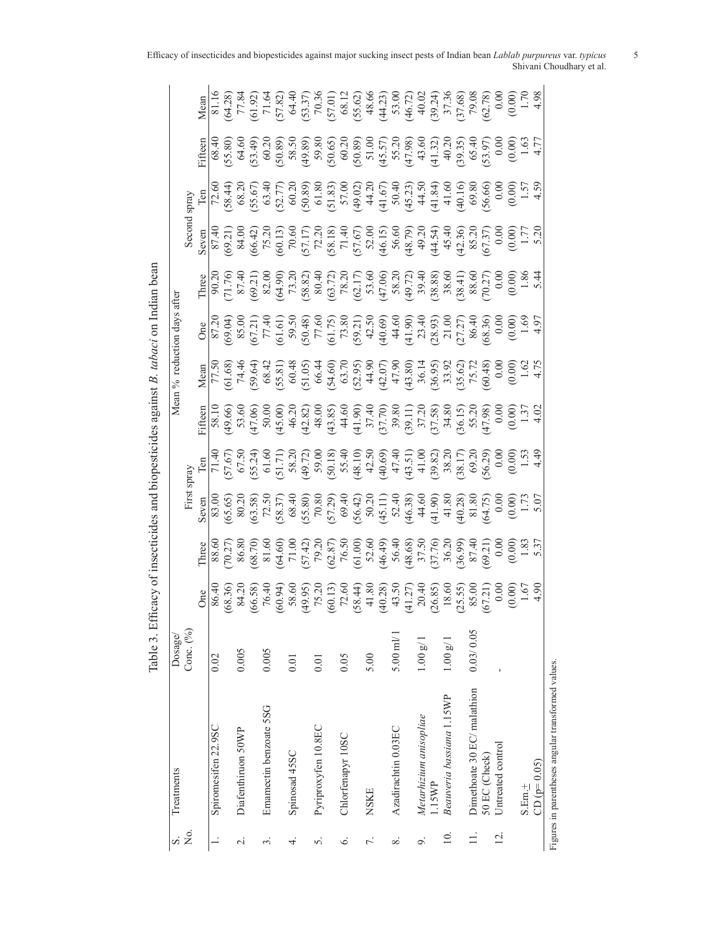| S              | Treatments                                         | Dosage/            |                                                                                                                                                                                                                             |                                                                                                                                                                                                 |                                                                                                                                               |                                                                                                                                                                                                     |                                                                                                                                                                                                                                                                                                                   | Mean % reduction days after |                                                                                                                                                                                                                                                                                                                      |                                                                                                                                                                                                                                                                                                                                                                                                                                        |                                                                                                                                                                                                                                                                                                                                                                                                                              |                                                                                                                                                                                                                                |                                                                                                                                                                                                                                                                                                                                              |
|----------------|----------------------------------------------------|--------------------|-----------------------------------------------------------------------------------------------------------------------------------------------------------------------------------------------------------------------------|-------------------------------------------------------------------------------------------------------------------------------------------------------------------------------------------------|-----------------------------------------------------------------------------------------------------------------------------------------------|-----------------------------------------------------------------------------------------------------------------------------------------------------------------------------------------------------|-------------------------------------------------------------------------------------------------------------------------------------------------------------------------------------------------------------------------------------------------------------------------------------------------------------------|-----------------------------|----------------------------------------------------------------------------------------------------------------------------------------------------------------------------------------------------------------------------------------------------------------------------------------------------------------------|----------------------------------------------------------------------------------------------------------------------------------------------------------------------------------------------------------------------------------------------------------------------------------------------------------------------------------------------------------------------------------------------------------------------------------------|------------------------------------------------------------------------------------------------------------------------------------------------------------------------------------------------------------------------------------------------------------------------------------------------------------------------------------------------------------------------------------------------------------------------------|--------------------------------------------------------------------------------------------------------------------------------------------------------------------------------------------------------------------------------|----------------------------------------------------------------------------------------------------------------------------------------------------------------------------------------------------------------------------------------------------------------------------------------------------------------------------------------------|
| Σó             |                                                    | Conc. (%)          |                                                                                                                                                                                                                             |                                                                                                                                                                                                 | First spray                                                                                                                                   |                                                                                                                                                                                                     |                                                                                                                                                                                                                                                                                                                   |                             |                                                                                                                                                                                                                                                                                                                      | Second spray                                                                                                                                                                                                                                                                                                                                                                                                                           |                                                                                                                                                                                                                                                                                                                                                                                                                              |                                                                                                                                                                                                                                |                                                                                                                                                                                                                                                                                                                                              |
|                |                                                    |                    | One                                                                                                                                                                                                                         | Three                                                                                                                                                                                           | Seven                                                                                                                                         | Fifteen                                                                                                                                                                                             |                                                                                                                                                                                                                                                                                                                   |                             | Three                                                                                                                                                                                                                                                                                                                |                                                                                                                                                                                                                                                                                                                                                                                                                                        |                                                                                                                                                                                                                                                                                                                                                                                                                              | Fifteen                                                                                                                                                                                                                        | Mean                                                                                                                                                                                                                                                                                                                                         |
|                | Spiromesifen 22.9SC                                | 0.02               | $\frac{86.40}{86.40}$                                                                                                                                                                                                       |                                                                                                                                                                                                 |                                                                                                                                               |                                                                                                                                                                                                     |                                                                                                                                                                                                                                                                                                                   |                             |                                                                                                                                                                                                                                                                                                                      |                                                                                                                                                                                                                                                                                                                                                                                                                                        |                                                                                                                                                                                                                                                                                                                                                                                                                              |                                                                                                                                                                                                                                |                                                                                                                                                                                                                                                                                                                                              |
|                |                                                    |                    |                                                                                                                                                                                                                             |                                                                                                                                                                                                 |                                                                                                                                               |                                                                                                                                                                                                     |                                                                                                                                                                                                                                                                                                                   |                             |                                                                                                                                                                                                                                                                                                                      |                                                                                                                                                                                                                                                                                                                                                                                                                                        |                                                                                                                                                                                                                                                                                                                                                                                                                              |                                                                                                                                                                                                                                |                                                                                                                                                                                                                                                                                                                                              |
| $\sim$         | Diafenthiruon 50WP                                 | 0.005              |                                                                                                                                                                                                                             |                                                                                                                                                                                                 |                                                                                                                                               |                                                                                                                                                                                                     |                                                                                                                                                                                                                                                                                                                   |                             |                                                                                                                                                                                                                                                                                                                      |                                                                                                                                                                                                                                                                                                                                                                                                                                        |                                                                                                                                                                                                                                                                                                                                                                                                                              |                                                                                                                                                                                                                                |                                                                                                                                                                                                                                                                                                                                              |
|                |                                                    |                    |                                                                                                                                                                                                                             |                                                                                                                                                                                                 |                                                                                                                                               |                                                                                                                                                                                                     |                                                                                                                                                                                                                                                                                                                   |                             |                                                                                                                                                                                                                                                                                                                      |                                                                                                                                                                                                                                                                                                                                                                                                                                        |                                                                                                                                                                                                                                                                                                                                                                                                                              |                                                                                                                                                                                                                                |                                                                                                                                                                                                                                                                                                                                              |
| $\dot{\infty}$ | Emamectin benzoate 5SG                             | 0.005              |                                                                                                                                                                                                                             |                                                                                                                                                                                                 |                                                                                                                                               |                                                                                                                                                                                                     |                                                                                                                                                                                                                                                                                                                   |                             |                                                                                                                                                                                                                                                                                                                      |                                                                                                                                                                                                                                                                                                                                                                                                                                        |                                                                                                                                                                                                                                                                                                                                                                                                                              |                                                                                                                                                                                                                                |                                                                                                                                                                                                                                                                                                                                              |
|                |                                                    |                    | $(68.30)$ $(66.38)$ $(66.30)$ $(66.30)$ $(66.30)$ $(66.30)$ $(66.30)$ $(66.30)$ $(66.30)$ $(66.30)$ $(66.30)$ $(66.30)$ $(66.30)$ $(66.30)$ $(66.30)$ $(66.30)$ $(66.30)$ $(66.30)$ $(66.30)$ $(66.30)$ $(66.30)$ $(66.30)$ | $[8.80\n8.80\n8.81\n8.82\n8.83\n8.85\n8.87\n8.88\n8.89\n8.81\n8.81\n8.82\n8.83\n8.84\n8.85\n8.87\n8.87\n8.89\n8.81\n8.81\n8.82\n8.83\n8.85\n8.87\n8.89\n8.81\n8.85\n8.87\n8.89\n8.81\n8.82\n8.$ | $[83.00\n80.20\n80.30\n80.40\n80.50\n80.50\n72.50\n73.50\n74.50\n75.50\n86.51\n87.51\n88.52\n89.53\n90.54\n14.58\n15.50\n15.50\n15.50\n15.50$ | $58.17\n58.19\n59.66\n59.67\n50.68\n51.69\n53.60\n54.69\n55.60\n56.60\n57.60\n58.61\n59.61\n50.62\n51.63\n52.64\n53.65\n54.66\n55.67\n56.69\n57.60\n59.61\n50.62\n51.70\n52.63\n53.64\n54.65\n55.6$ | $\frac{\text{Mean}}{\text{Mean}}$ $\frac{1}{1000}$ $\frac{1}{1000}$ $\frac{1}{1000}$ $\frac{1}{1000}$ $\frac{1}{1000}$ $\frac{1}{1000}$ $\frac{1}{1000}$ $\frac{1}{1000}$ $\frac{1}{1000}$ $\frac{1}{1000}$ $\frac{1}{1000}$ $\frac{1}{1000}$ $\frac{1}{1000}$ $\frac{1}{1000}$ $\frac{1}{1000}$ $\frac{1}{1000}$ |                             | $\begin{array}{l} 90.70 \\ 87.40 \\ (71.76) \\ (89.21) \\ (96.21) \\ (96.31) \\ (96.32) \\ (96.33) \\ (96.33) \\ (96.33) \\ (96.33) \\ (96.33) \\ (96.33) \\ (96.33) \\ (96.33) \\ (96.33) \\ (96.33) \\ (96.33) \\ (96.33) \\ (96.33) \\ (96.33) \\ (96.33) \\ (96.33) \\ (96.33) \\ (96.33) \\ (96.33) \\ (96.33)$ | $\begin{array}{l} \mathbf{S} \mathbf{v} = \mathbf{S} \mathbf{v} \\ \hline \mathbf{S} \mathbf{S} \mathbf{S} \mathbf{S} \mathbf{S} \\ \hline \mathbf{S} \mathbf{S} \mathbf{S} \mathbf{S} \mathbf{S} \\ \hline \mathbf{S} \mathbf{S} \mathbf{S} \mathbf{S} \mathbf{S} \\ \hline \mathbf{S} \mathbf{S} \mathbf{S} \mathbf{S} \mathbf{S} \mathbf{S} \mathbf{S} \mathbf{S} \\ \hline \mathbf{S} \mathbf{S} \mathbf{S} \mathbf{S} \mathbf{S}$ | $[\frac{1}{2}, \frac{1}{2}, \frac{1}{2}, \frac{1}{2}, \frac{1}{2}, \frac{1}{2}, \frac{1}{2}, \frac{1}{2}, \frac{1}{2}, \frac{1}{2}, \frac{1}{2}, \frac{1}{2}, \frac{1}{2}, \frac{1}{2}, \frac{1}{2}, \frac{1}{2}, \frac{1}{2}, \frac{1}{2}, \frac{1}{2}, \frac{1}{2}, \frac{1}{2}, \frac{1}{2}, \frac{1}{2}, \frac{1}{2}, \frac{1}{2}, \frac{1}{2}, \frac{1}{2}, \frac{1}{2}, \frac{1}{2}, \frac{1}{2}, \frac{1}{2}, \frac{$ | $(68.4)$ $(68.5)$ $(69.4)$ $(69.4)$ $(69.4)$ $(69.4)$ $(69.4)$ $(69.4)$ $(69.4)$ $(69.4)$ $(69.4)$ $(69.4)$ $(69.4)$ $(69.4)$ $(69.4)$ $(69.4)$ $(69.4)$ $(69.4)$ $(69.4)$ $(69.4)$ $(69.4)$ $(69.4)$ $(69.4)$ $(69.4)$ $(69.$ | $[ \frac{16}{8118} \frac{16}{318} \frac{16}{318} \frac{16}{318} \frac{16}{318} \frac{16}{318} \frac{16}{318} \frac{16}{318} \frac{16}{318} \frac{16}{318} \frac{16}{318} \frac{16}{318} \frac{16}{318} \frac{16}{318} \frac{16}{318} \frac{16}{318} \frac{16}{318} \frac{16}{318} \frac{16}{318} \frac{16}{318} \frac{16}{318} \frac{16}{31$ |
| 4.             | Spinosad 45SC                                      | 0.01               |                                                                                                                                                                                                                             |                                                                                                                                                                                                 |                                                                                                                                               |                                                                                                                                                                                                     |                                                                                                                                                                                                                                                                                                                   |                             |                                                                                                                                                                                                                                                                                                                      |                                                                                                                                                                                                                                                                                                                                                                                                                                        |                                                                                                                                                                                                                                                                                                                                                                                                                              |                                                                                                                                                                                                                                |                                                                                                                                                                                                                                                                                                                                              |
|                |                                                    |                    |                                                                                                                                                                                                                             |                                                                                                                                                                                                 |                                                                                                                                               |                                                                                                                                                                                                     |                                                                                                                                                                                                                                                                                                                   |                             |                                                                                                                                                                                                                                                                                                                      |                                                                                                                                                                                                                                                                                                                                                                                                                                        |                                                                                                                                                                                                                                                                                                                                                                                                                              |                                                                                                                                                                                                                                |                                                                                                                                                                                                                                                                                                                                              |
| 5.             | Pyriproxyfen 10.8EC                                | 0.01               |                                                                                                                                                                                                                             |                                                                                                                                                                                                 |                                                                                                                                               |                                                                                                                                                                                                     |                                                                                                                                                                                                                                                                                                                   |                             |                                                                                                                                                                                                                                                                                                                      |                                                                                                                                                                                                                                                                                                                                                                                                                                        |                                                                                                                                                                                                                                                                                                                                                                                                                              |                                                                                                                                                                                                                                |                                                                                                                                                                                                                                                                                                                                              |
|                |                                                    |                    |                                                                                                                                                                                                                             |                                                                                                                                                                                                 |                                                                                                                                               |                                                                                                                                                                                                     |                                                                                                                                                                                                                                                                                                                   |                             |                                                                                                                                                                                                                                                                                                                      |                                                                                                                                                                                                                                                                                                                                                                                                                                        |                                                                                                                                                                                                                                                                                                                                                                                                                              |                                                                                                                                                                                                                                |                                                                                                                                                                                                                                                                                                                                              |
| ی              | Chlorfenapyr 10SC                                  | 0.05               |                                                                                                                                                                                                                             |                                                                                                                                                                                                 |                                                                                                                                               |                                                                                                                                                                                                     |                                                                                                                                                                                                                                                                                                                   |                             |                                                                                                                                                                                                                                                                                                                      |                                                                                                                                                                                                                                                                                                                                                                                                                                        |                                                                                                                                                                                                                                                                                                                                                                                                                              |                                                                                                                                                                                                                                |                                                                                                                                                                                                                                                                                                                                              |
|                |                                                    |                    |                                                                                                                                                                                                                             |                                                                                                                                                                                                 |                                                                                                                                               |                                                                                                                                                                                                     |                                                                                                                                                                                                                                                                                                                   |                             |                                                                                                                                                                                                                                                                                                                      |                                                                                                                                                                                                                                                                                                                                                                                                                                        |                                                                                                                                                                                                                                                                                                                                                                                                                              |                                                                                                                                                                                                                                |                                                                                                                                                                                                                                                                                                                                              |
| $\tilde{L}$    | NSKE                                               | 5.00               |                                                                                                                                                                                                                             |                                                                                                                                                                                                 |                                                                                                                                               |                                                                                                                                                                                                     |                                                                                                                                                                                                                                                                                                                   |                             |                                                                                                                                                                                                                                                                                                                      |                                                                                                                                                                                                                                                                                                                                                                                                                                        |                                                                                                                                                                                                                                                                                                                                                                                                                              |                                                                                                                                                                                                                                |                                                                                                                                                                                                                                                                                                                                              |
|                |                                                    |                    |                                                                                                                                                                                                                             |                                                                                                                                                                                                 |                                                                                                                                               |                                                                                                                                                                                                     |                                                                                                                                                                                                                                                                                                                   |                             |                                                                                                                                                                                                                                                                                                                      |                                                                                                                                                                                                                                                                                                                                                                                                                                        |                                                                                                                                                                                                                                                                                                                                                                                                                              |                                                                                                                                                                                                                                |                                                                                                                                                                                                                                                                                                                                              |
| ∞ं             | Azadirachtin 0.03EC                                | $5.00$ ml/         |                                                                                                                                                                                                                             |                                                                                                                                                                                                 |                                                                                                                                               |                                                                                                                                                                                                     |                                                                                                                                                                                                                                                                                                                   |                             |                                                                                                                                                                                                                                                                                                                      |                                                                                                                                                                                                                                                                                                                                                                                                                                        |                                                                                                                                                                                                                                                                                                                                                                                                                              |                                                                                                                                                                                                                                |                                                                                                                                                                                                                                                                                                                                              |
|                |                                                    |                    |                                                                                                                                                                                                                             |                                                                                                                                                                                                 |                                                                                                                                               |                                                                                                                                                                                                     |                                                                                                                                                                                                                                                                                                                   |                             |                                                                                                                                                                                                                                                                                                                      |                                                                                                                                                                                                                                                                                                                                                                                                                                        |                                                                                                                                                                                                                                                                                                                                                                                                                              |                                                                                                                                                                                                                                |                                                                                                                                                                                                                                                                                                                                              |
| $\sigma$       | Metarhizium anisopliae                             | $1.00~{\rm g} / 1$ |                                                                                                                                                                                                                             |                                                                                                                                                                                                 |                                                                                                                                               |                                                                                                                                                                                                     |                                                                                                                                                                                                                                                                                                                   |                             |                                                                                                                                                                                                                                                                                                                      |                                                                                                                                                                                                                                                                                                                                                                                                                                        |                                                                                                                                                                                                                                                                                                                                                                                                                              |                                                                                                                                                                                                                                |                                                                                                                                                                                                                                                                                                                                              |
|                | 15MP                                               |                    |                                                                                                                                                                                                                             |                                                                                                                                                                                                 |                                                                                                                                               |                                                                                                                                                                                                     |                                                                                                                                                                                                                                                                                                                   |                             |                                                                                                                                                                                                                                                                                                                      |                                                                                                                                                                                                                                                                                                                                                                                                                                        |                                                                                                                                                                                                                                                                                                                                                                                                                              |                                                                                                                                                                                                                                |                                                                                                                                                                                                                                                                                                                                              |
| $\Xi$          | Beauveria bassiana 1.15WP                          | $1.00\;{\rm g}/1$  |                                                                                                                                                                                                                             |                                                                                                                                                                                                 |                                                                                                                                               |                                                                                                                                                                                                     |                                                                                                                                                                                                                                                                                                                   |                             |                                                                                                                                                                                                                                                                                                                      |                                                                                                                                                                                                                                                                                                                                                                                                                                        |                                                                                                                                                                                                                                                                                                                                                                                                                              |                                                                                                                                                                                                                                |                                                                                                                                                                                                                                                                                                                                              |
|                |                                                    |                    |                                                                                                                                                                                                                             |                                                                                                                                                                                                 |                                                                                                                                               |                                                                                                                                                                                                     |                                                                                                                                                                                                                                                                                                                   |                             |                                                                                                                                                                                                                                                                                                                      |                                                                                                                                                                                                                                                                                                                                                                                                                                        |                                                                                                                                                                                                                                                                                                                                                                                                                              |                                                                                                                                                                                                                                |                                                                                                                                                                                                                                                                                                                                              |
| $\equiv$       | Dimethoate 30 EC/ malathion                        | 0.03/0.05          |                                                                                                                                                                                                                             |                                                                                                                                                                                                 |                                                                                                                                               |                                                                                                                                                                                                     |                                                                                                                                                                                                                                                                                                                   |                             |                                                                                                                                                                                                                                                                                                                      |                                                                                                                                                                                                                                                                                                                                                                                                                                        |                                                                                                                                                                                                                                                                                                                                                                                                                              |                                                                                                                                                                                                                                |                                                                                                                                                                                                                                                                                                                                              |
|                | 50 EC (Check)                                      |                    |                                                                                                                                                                                                                             |                                                                                                                                                                                                 |                                                                                                                                               |                                                                                                                                                                                                     |                                                                                                                                                                                                                                                                                                                   |                             |                                                                                                                                                                                                                                                                                                                      |                                                                                                                                                                                                                                                                                                                                                                                                                                        |                                                                                                                                                                                                                                                                                                                                                                                                                              |                                                                                                                                                                                                                                |                                                                                                                                                                                                                                                                                                                                              |
| $\overline{c}$ | Untreated control                                  |                    |                                                                                                                                                                                                                             |                                                                                                                                                                                                 |                                                                                                                                               |                                                                                                                                                                                                     |                                                                                                                                                                                                                                                                                                                   |                             |                                                                                                                                                                                                                                                                                                                      |                                                                                                                                                                                                                                                                                                                                                                                                                                        |                                                                                                                                                                                                                                                                                                                                                                                                                              |                                                                                                                                                                                                                                |                                                                                                                                                                                                                                                                                                                                              |
|                |                                                    |                    |                                                                                                                                                                                                                             |                                                                                                                                                                                                 |                                                                                                                                               |                                                                                                                                                                                                     |                                                                                                                                                                                                                                                                                                                   |                             |                                                                                                                                                                                                                                                                                                                      |                                                                                                                                                                                                                                                                                                                                                                                                                                        |                                                                                                                                                                                                                                                                                                                                                                                                                              |                                                                                                                                                                                                                                |                                                                                                                                                                                                                                                                                                                                              |
|                | S.Enn.                                             |                    |                                                                                                                                                                                                                             |                                                                                                                                                                                                 |                                                                                                                                               |                                                                                                                                                                                                     |                                                                                                                                                                                                                                                                                                                   |                             |                                                                                                                                                                                                                                                                                                                      |                                                                                                                                                                                                                                                                                                                                                                                                                                        |                                                                                                                                                                                                                                                                                                                                                                                                                              |                                                                                                                                                                                                                                |                                                                                                                                                                                                                                                                                                                                              |
|                | $CD (p=0.05)$                                      |                    |                                                                                                                                                                                                                             |                                                                                                                                                                                                 |                                                                                                                                               |                                                                                                                                                                                                     |                                                                                                                                                                                                                                                                                                                   |                             |                                                                                                                                                                                                                                                                                                                      |                                                                                                                                                                                                                                                                                                                                                                                                                                        |                                                                                                                                                                                                                                                                                                                                                                                                                              |                                                                                                                                                                                                                                |                                                                                                                                                                                                                                                                                                                                              |
|                | Figures in parentheses angular transformed values. |                    |                                                                                                                                                                                                                             |                                                                                                                                                                                                 |                                                                                                                                               |                                                                                                                                                                                                     |                                                                                                                                                                                                                                                                                                                   |                             |                                                                                                                                                                                                                                                                                                                      |                                                                                                                                                                                                                                                                                                                                                                                                                                        |                                                                                                                                                                                                                                                                                                                                                                                                                              |                                                                                                                                                                                                                                |                                                                                                                                                                                                                                                                                                                                              |

Table 3. Efficacy of insecticides and biopesticides against B. tabaci on Indian bean Table 3. Efficacy of insecticides and biopesticides against *B. tabaci* on Indian bean

Efficacy of insecticides and biopesticides against major sucking insect pests of Indian bean *Lablab purpureus* var. *typicus* 5 Shivani Choudhary et al.